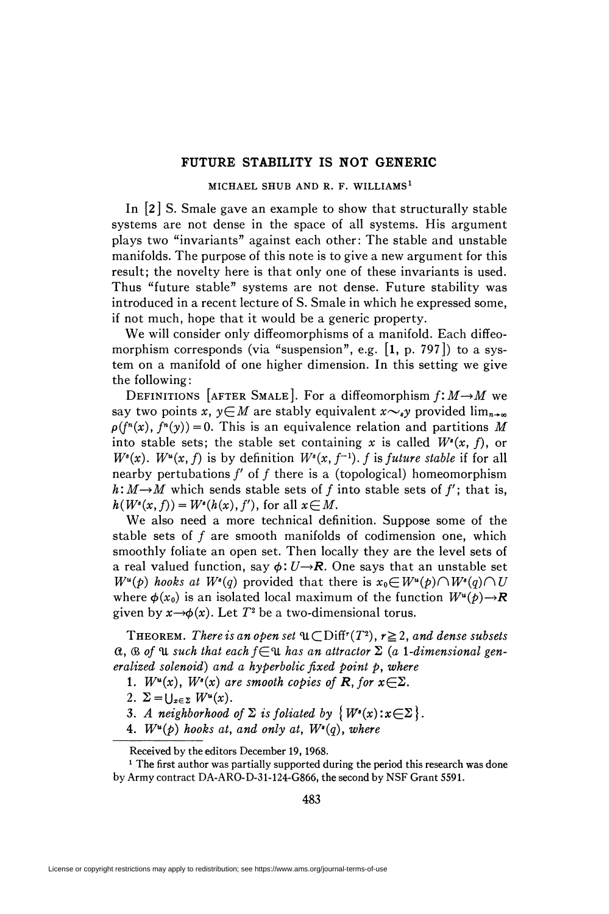## FUTURE STABILITY IS NOT GENERIC

## MICHAEL SHUB AND R. F. WILLIAMS1

In [2] S. Smale gave an example to show that structurally stable systems are not dense in the space of all systems. His argument plays two "invariants" against each other: The stable and unstable manifolds. The purpose of this note is to give a new argument for this result; the novelty here is that only one of these invariants is used. Thus "future stable" systems are not dense. Future stability was introduced in a recent lecture of S. Smale in which he expressed some, if not much, hope that it would be a generic property.

We will consider only diffeomorphisms of a manifold. Each diffeomorphism corresponds (via "suspension", e.g.  $[1, p. 797]$ ) to a system on a manifold of one higher dimension. In this setting we give the following:

DEFINITIONS [AFTER SMALE]. For a diffeomorphism  $f: M \rightarrow M$  we say two points x,  $y \in M$  are stably equivalent  $x \sim y$  provided lim<sub>n- $\infty$ </sub>  $p(f^{n}(x), f^{n}(y)) = 0$ . This is an equivalence relation and partitions M into stable sets; the stable set containing x is called  $W^*(x, f)$ , or  $W^s(x)$ .  $W^u(x, f)$  is by definition  $W^s(x, f^{-1})$ . f is future stable if for all nearby pertubations  $f'$  of  $f$  there is a (topological) homeomorphism  $h: M \rightarrow M$  which sends stable sets of f into stable sets of f'; that is,  $h(W^*(x, f)) = W^*(h(x), f')$ , for all  $x \in M$ .

We also need a more technical definition. Suppose some of the stable sets of  $f$  are smooth manifolds of codimension one, which smoothly foliate an open set. Then locally they are the level sets of a real valued function, say  $\phi: U \rightarrow \mathbb{R}$ . One says that an unstable set  $W^u(p)$  hooks at  $W^s(q)$  provided that there is  $x_0 \in W^u(p) \cap W^s(q) \cap U$ where  $\phi(x_0)$  is an isolated local maximum of the function  $W^u(p) \rightarrow \mathbb{R}$ given by  $x \rightarrow \phi(x)$ . Let  $T^2$  be a two-dimensional torus.

**THEOREM.** There is an open set  $\mathfrak{u}\subset \text{Diff}^r(T^2)$ ,  $r\geq 2$ , and dense subsets  $f(x, \mathcal{B})$  of  $\mathcal{U}$  such that each  $f \in \mathcal{U}$  has an attractor  $\Sigma$  (a 1-dimensional generalized solenoid) and a hyperbolic fixed point  $p$ , where

1.  $W^u(x)$ ,  $W^s(x)$  are smooth copies of **R**, for  $x \in \Sigma$ .

- 2.  $\Sigma = \bigcup_{x \in \Sigma} W^u(x)$ .
- 3. A neighborhood of  $\Sigma$  is foliated by  $\{W^s(x):x\in\Sigma\}.$
- 4.  $W^u(p)$  hooks at, and only at,  $W^s(q)$ , where

Received by the editors December 19, 1968.

<sup>&</sup>lt;sup>1</sup> The first author was partially supported during the period this research was done by Army contract DA-ARO-D-31-124-G866, the second by NSF Grant 5591.